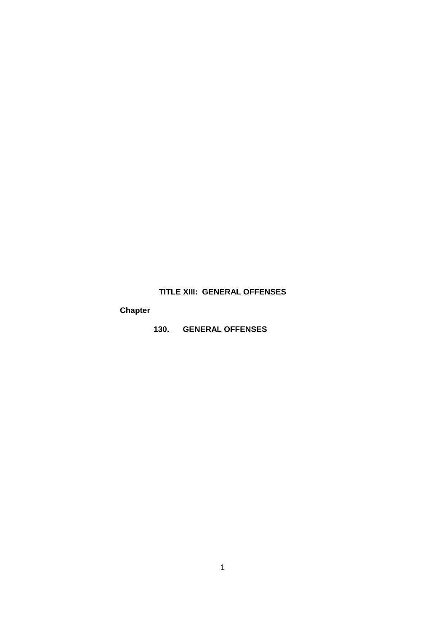# **TITLE XIII: GENERAL OFFENSES**

# **Chapter**

**130. GENERAL OFFENSES**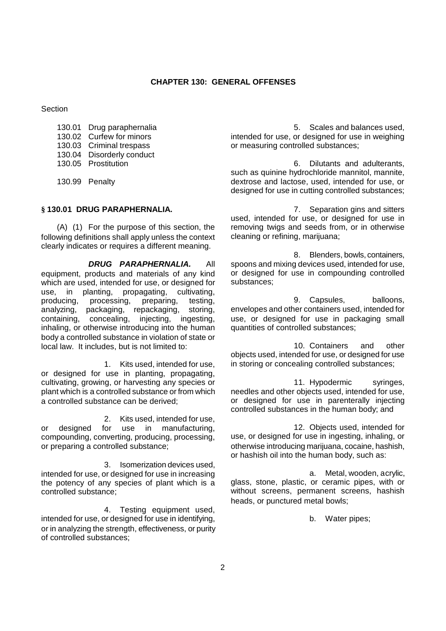**Section** 

| 130.01 Drug paraphernalia |
|---------------------------|
| 130.02 Curfew for minors  |
| 130.03 Criminal trespass  |
| 130.04 Disorderly conduct |
| 130.05 Prostitution       |
|                           |

130.99 Penalty

# **§ 130.01 DRUG PARAPHERNALIA.**

(A) (1) For the purpose of this section, the following definitions shall apply unless the context clearly indicates or requires a different meaning.

*DRUG PARAPHERNALIA.* All equipment, products and materials of any kind which are used, intended for use, or designed for use, in planting, propagating, cultivating, producing, processing, preparing, testing, analyzing, packaging, repackaging, storing, containing, concealing, injecting, ingesting, inhaling, or otherwise introducing into the human body a controlled substance in violation of state or local law. It includes, but is not limited to:

1. Kits used, intended for use, or designed for use in planting, propagating, cultivating, growing, or harvesting any species or plant which is a controlled substance or from which a controlled substance can be derived;

2. Kits used, intended for use, or designed for use in manufacturing, compounding, converting, producing, processing, or preparing a controlled substance;

3. Isomerization devices used, intended for use, or designed for use in increasing the potency of any species of plant which is a controlled substance;

4. Testing equipment used, intended for use, or designed for use in identifying, or in analyzing the strength, effectiveness, or purity of controlled substances;

5. Scales and balances used, intended for use, or designed for use in weighing or measuring controlled substances;

6. Dilutants and adulterants, such as quinine hydrochloride mannitol, mannite, dextrose and lactose, used, intended for use, or designed for use in cutting controlled substances;

7. Separation gins and sitters used, intended for use, or designed for use in removing twigs and seeds from, or in otherwise cleaning or refining, marijuana;

8. Blenders, bowls, containers, spoons and mixing devices used, intended for use, or designed for use in compounding controlled substances;

9. Capsules, balloons, envelopes and other containers used, intended for use, or designed for use in packaging small quantities of controlled substances;

10. Containers and other objects used, intended for use, or designed for use in storing or concealing controlled substances;

11. Hypodermic syringes, needles and other objects used, intended for use, or designed for use in parenterally injecting controlled substances in the human body; and

12. Objects used, intended for use, or designed for use in ingesting, inhaling, or otherwise introducing marijuana, cocaine, hashish, or hashish oil into the human body, such as:

a. Metal, wooden, acrylic, glass, stone, plastic, or ceramic pipes, with or without screens, permanent screens, hashish heads, or punctured metal bowls;

b. Water pipes;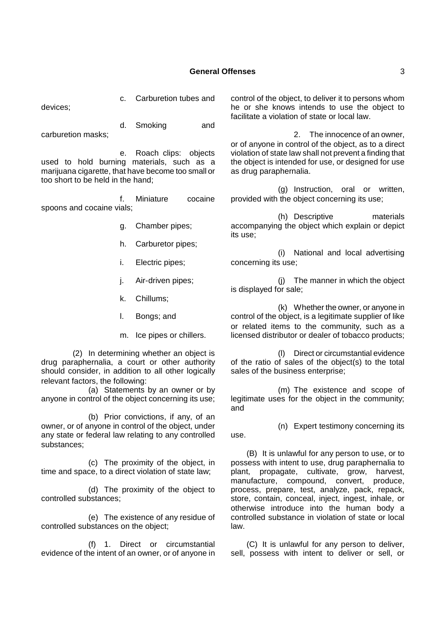# **General Offenses** 3

devices;

c. Carburetion tubes and

d. Smoking and carburetion masks;

e. Roach clips: objects used to hold burning materials, such as a marijuana cigarette, that have become too small or too short to be held in the hand;

f. Miniature cocaine spoons and cocaine vials;

- g. Chamber pipes;
- h. Carburetor pipes;
- i. Electric pipes;
- j. Air-driven pipes;
- k. Chillums;
- l. Bongs; and
- m. Ice pipes or chillers.

(2) In determining whether an object is drug paraphernalia, a court or other authority should consider, in addition to all other logically relevant factors, the following:

(a) Statements by an owner or by anyone in control of the object concerning its use;

(b) Prior convictions, if any, of an owner, or of anyone in control of the object, under any state or federal law relating to any controlled substances;

(c) The proximity of the object, in time and space, to a direct violation of state law;

(d) The proximity of the object to controlled substances;

(e) The existence of any residue of controlled substances on the object;

(f) 1. Direct or circumstantial evidence of the intent of an owner, or of anyone in control of the object, to deliver it to persons whom he or she knows intends to use the object to facilitate a violation of state or local law.

2. The innocence of an owner, or of anyone in control of the object, as to a direct violation of state law shall not prevent a finding that the object is intended for use, or designed for use as drug paraphernalia.

(g) Instruction, oral or written, provided with the object concerning its use;

(h) Descriptive materials accompanying the object which explain or depict its use;

(i) National and local advertising concerning its use;

(j) The manner in which the object is displayed for sale;

(k) Whether the owner, or anyone in control of the object, is a legitimate supplier of like or related items to the community, such as a licensed distributor or dealer of tobacco products;

(l) Direct or circumstantial evidence of the ratio of sales of the object(s) to the total sales of the business enterprise;

(m) The existence and scope of legitimate uses for the object in the community; and

(n) Expert testimony concerning its use.

(B) It is unlawful for any person to use, or to possess with intent to use, drug paraphernalia to plant, propagate, cultivate, grow, harvest, manufacture, compound, convert, produce, process, prepare, test, analyze, pack, repack, store, contain, conceal, inject, ingest, inhale, or otherwise introduce into the human body a controlled substance in violation of state or local law.

(C) It is unlawful for any person to deliver, sell, possess with intent to deliver or sell, or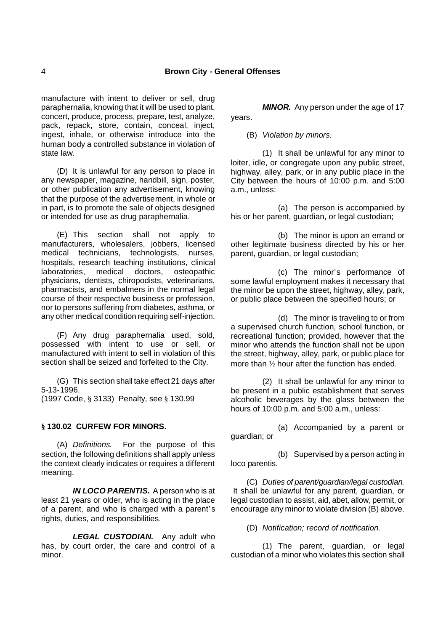manufacture with intent to deliver or sell, drug paraphernalia, knowing that it will be used to plant, concert, produce, process, prepare, test, analyze, pack, repack, store, contain, conceal, inject, ingest, inhale, or otherwise introduce into the human body a controlled substance in violation of state law.

(D) It is unlawful for any person to place in any newspaper, magazine, handbill, sign, poster, or other publication any advertisement, knowing that the purpose of the advertisement, in whole or in part, is to promote the sale of objects designed or intended for use as drug paraphernalia.

(E) This section shall not apply to manufacturers, wholesalers, jobbers, licensed medical technicians, technologists, nurses, hospitals, research teaching institutions, clinical laboratories, medical doctors, osteopathic physicians, dentists, chiropodists, veterinarians, pharmacists, and embalmers in the normal legal course of their respective business or profession, nor to persons suffering from diabetes, asthma, or any other medical condition requiring self-injection.

(F) Any drug paraphernalia used, sold, possessed with intent to use or sell, or manufactured with intent to sell in violation of this section shall be seized and forfeited to the City.

(G) This section shall take effect 21 days after 5-13-1996.

(1997 Code, § 3133) Penalty, see § 130.99

# **§ 130.02 CURFEW FOR MINORS.**

(A) *Definitions.* For the purpose of this section, the following definitions shall apply unless the context clearly indicates or requires a different meaning.

*IN LOCO PARENTIS.* A person who is at least 21 years or older, who is acting in the place of a parent, and who is charged with a parent's rights, duties, and responsibilities.

*LEGAL CUSTODIAN.* Any adult who has, by court order, the care and control of a minor.

*MINOR.* Any person under the age of 17 years.

(B) *Violation by minors.*

(1) It shall be unlawful for any minor to loiter, idle, or congregate upon any public street, highway, alley, park, or in any public place in the City between the hours of 10:00 p.m. and 5:00 a.m., unless:

(a) The person is accompanied by his or her parent, guardian, or legal custodian;

(b) The minor is upon an errand or other legitimate business directed by his or her parent, guardian, or legal custodian;

(c) The minor's performance of some lawful employment makes it necessary that the minor be upon the street, highway, alley, park, or public place between the specified hours; or

(d) The minor is traveling to or from a supervised church function, school function, or recreational function; provided, however that the minor who attends the function shall not be upon the street, highway, alley, park, or public place for more than ½ hour after the function has ended.

(2) It shall be unlawful for any minor to be present in a public establishment that serves alcoholic beverages by the glass between the hours of 10:00 p.m. and 5:00 a.m., unless:

(a) Accompanied by a parent or guardian; or

(b) Supervised by a person acting in loco parentis.

(C) *Duties of parent/guardian/legal custodian.* It shall be unlawful for any parent, guardian, or legal custodian to assist, aid, abet, allow, permit, or encourage any minor to violate division (B) above.

(D) *Notification; record of notification.*

(1) The parent, guardian, or legal custodian of a minor who violates this section shall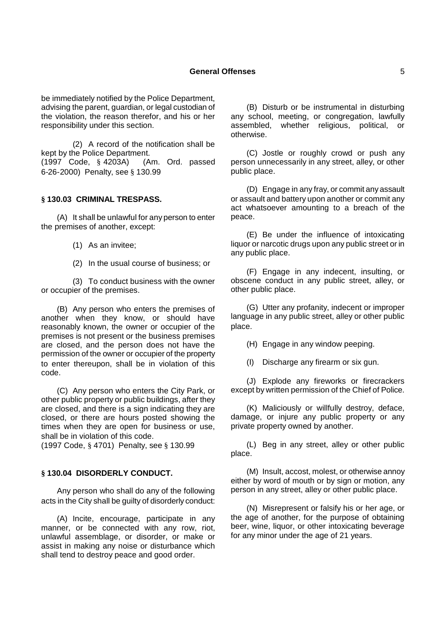#### **General Offenses** 5

be immediately notified by the Police Department, advising the parent, guardian, or legal custodian of the violation, the reason therefor, and his or her responsibility under this section.

(2) A record of the notification shall be kept by the Police Department. (1997 Code, § 4203A) (Am. Ord. passed 6-26-2000) Penalty, see § 130.99

#### **§ 130.03 CRIMINAL TRESPASS.**

(A) It shall be unlawful for any person to enter the premises of another, except:

- (1) As an invitee;
- (2) In the usual course of business; or

(3) To conduct business with the owner or occupier of the premises.

(B) Any person who enters the premises of another when they know, or should have reasonably known, the owner or occupier of the premises is not present or the business premises are closed, and the person does not have the permission of the owner or occupier of the property to enter thereupon, shall be in violation of this code.

(C) Any person who enters the City Park, or other public property or public buildings, after they are closed, and there is a sign indicating they are closed, or there are hours posted showing the times when they are open for business or use, shall be in violation of this code.

(1997 Code, § 4701) Penalty, see § 130.99

# **§ 130.04 DISORDERLY CONDUCT.**

Any person who shall do any of the following acts in the City shall be guilty of disorderly conduct:

(A) Incite, encourage, participate in any manner, or be connected with any row, riot, unlawful assemblage, or disorder, or make or assist in making any noise or disturbance which shall tend to destroy peace and good order.

(B) Disturb or be instrumental in disturbing any school, meeting, or congregation, lawfully assembled, whether religious, political, or otherwise.

(C) Jostle or roughly crowd or push any person unnecessarily in any street, alley, or other public place.

(D) Engage in any fray, or commit any assault or assault and battery upon another or commit any act whatsoever amounting to a breach of the peace.

(E) Be under the influence of intoxicating liquor or narcotic drugs upon any public street or in any public place.

(F) Engage in any indecent, insulting, or obscene conduct in any public street, alley, or other public place.

(G) Utter any profanity, indecent or improper language in any public street, alley or other public place.

(H) Engage in any window peeping.

(I) Discharge any firearm or six gun.

(J) Explode any fireworks or firecrackers except by written permission of the Chief of Police.

(K) Maliciously or willfully destroy, deface, damage, or injure any public property or any private property owned by another.

(L) Beg in any street, alley or other public place.

(M) Insult, accost, molest, or otherwise annoy either by word of mouth or by sign or motion, any person in any street, alley or other public place.

(N) Misrepresent or falsify his or her age, or the age of another, for the purpose of obtaining beer, wine, liquor, or other intoxicating beverage for any minor under the age of 21 years.